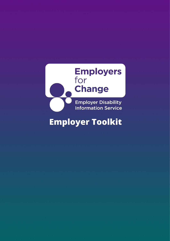

# **Employer Toolkit**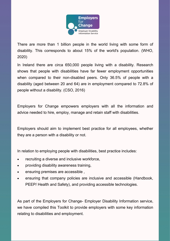

 There are more than 1 billion people in the world living with some form of disability. This corresponds to about 15% of the world's population. (WHO, 2020)

 In Ireland there are circa 650,000 people living with a disability. Research shows that people with disabilities have far fewer employment opportunities when compared to their non-disabled peers. Only 36.5% of people with a disability (aged between 20 and 64) are in employment compared to 72.8% of people without a disability. (CSO, 2016)

 Employers for Change empowers employers with all the information and advice needed to hire, employ, manage and retain staff with disabilities.

 Employers should aim to implement best practice for all employees, whether they are a person with a disability or not.

In relation to employing people with disabilities, best practice includes:

- recruiting a diverse and inclusive workforce.
- providing disability awareness training,
- ensuring premises are accessible ,
- • ensuring that company policies are inclusive and accessible (Handbook, PEEP/ Health and Safety), and providing accessible technologies.

 As part of the Employers for Change- Employer Disability Information service, we have compiled this Toolkit to provide employers with some key information relating to disabilities and employment.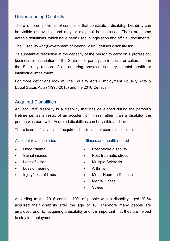## Understanding Disability

 There is no definitive list of conditions that constitute a disability. Disability can be visible or invisible and may or may not be disclosed. There are some notable definitions, which have been used in legislation and official documents.

The Disability Act (Government of Ireland, 2005) defines disability as:

 "a substantial restriction in the capacity of the person to carry on a profession, business or occupation in the State or to participate in social or cultural life in the State by reason of an enduring physical, sensory, mental health or intellectual impairment.'

 For more definitions look at The Equality Acts (Employment Equality Acts & Equal Status Acts) (1998-2015) and the 2016 Census.

## Acquired Disabilities

 An 'acquired' disability is a disability that has developed during the person's lifetime i.e. as a result of an accident or illness rather than a disability the person was born with. Acquired disabilities can be visible and invisible.

There is no definitive list of acquired disabilities but examples include:

#### Accident related injuries

- Head trauma •
- Spinal injuries Post-
- Loss of vision •
- Loss of hearing by the Arthritis
- Injury/ loss of limbs

#### Illness and health related

- Post stroke disability
- Post-traumatic stress
- Multiple Sclerosis
- 
- Motor Neurone Disease
- Mental Illness
- **Stress**

 According to the 2016 census, 70% of people with a disability aged 20-64 acquired their disability after the age of 16. Therefore many people are employed prior to acquiring a disability and it is important that they are helped to stay in employment.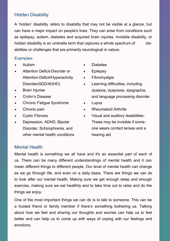## Hidden Disability

 A 'hidden' disability refers to disability that may not be visible at a glance, but can have a major impact on people's lives. They can arise from conditions such as epilepsy, autism, diabetes and acquired brain injuries. Invisible disability, or hidden disability is an umbrella term that captures a whole spectrum of dis-abilities or challenges that are primarily neurological in nature.

#### Examples:

- Autism
- • Attention Deficit-Disorder or Attention-Deficit/Hyperactivity Disorder(ADD/ADHD)
- **Brain injuries**
- Crohn's Disease
- Chronic Fatigue Syndrome
- Chronic pain
- Cystic Fibrosis
- Disorder, Schizophrenia, and • Depression, ADHD, Bipolar other mental health conditions
- **Diabetes**
- Epilepsy
- Fibromyalgia
- • Learning difficulties, including and language processing disorder dyslexia, dyspraxia, dysgraphia,
- **Lupus**
- Rheumatoid Arthritis
- one wears contact lenses and a • Visual and auditory disabilities-These may be invisible if somehearing aid

#### Mental Health

 Mental health is something we all have and it's an essential part of each of us. There can be many different understandings of mental health and it can mean different things to different people. Our level of mental health can change as we go through life, and even on a daily basis. There are things we can do to look after our mental health. Making sure we get enough sleep and enough exercise, making sure we eat healthily and to take time out to relax and do the things we enjoy.

 One of the most important things we can do is to talk to someone. This can be a trusted friend or family member if there's something bothering us. Talking about how we feel and sharing our thoughts and worries can help us to feel better and can help us to come up with ways of coping with our feelings and emotions.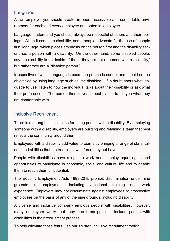## Language

 ronment for each and every employee and potential employee. As an employer you should create an open, accessible and comfortable envi-

 Language matters and you should always be respectful of others and their feel- ings. When it comes to disability, some people advocate for the use of 'people first' language, which places emphasis on the person first and the disability sec- ond i.e. a person with a disability. On the other hand, some disabled people, say the disability is not inside of them: they are not a 'person with a disability,' but rather they are a 'disabled person.'

 Irrespective of which language is used, the person is central and should not be objectified by using language such as 'the disabled.' If in doubt about what lan- guage to use, listen to how the individual talks about their disability or ask what their preference is. The person themselves is best placed to tell you what they are comfortable with.

## Inclusive Recruitment

 There is a strong business case for hiring people with a disability. By employing someone with a disability, employers are building and retaining a team that best reflects the community around them.

 Employees with a disability add value to teams by bringing a range of skills, tal-ents and abilities that the traditional workforce may not have.

 People with disabilities have a right to work and to enjoy equal rights and opportunities to participate in economic, social and cultural life and to enable them to reach their full potential.

 The Equality Employment Acts 1998-2015 prohibit discrimination under nine work experience. Employers may not discriminate against employees or prospective employees on the basis of any of the nine grounds, including disability. grounds in employment, including vocational training and

 A diverse and inclusive company employs people with disabilities. However, many employers worry that they aren't equipped to include people with disabilities in their recruitment process.

To help alleviate those fears, use our six step inclusive recruitment toolkit.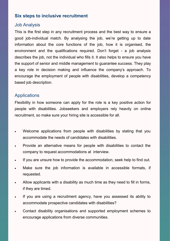## **Six steps to inclusive recruitment**

#### Job Analysis

 This is the first step in any recruitment process and the best way to ensure a good job-individual match. By analysing the job, we're getting up to date information about the core functions of the job, how it is organised, the environment and the qualifications required. Don't forget - a job analysis describes the job, not the individual who fills it. It also helps to ensure you have the support of senior and middle management to guarantee success. They play a key role in decision making and influence the company's approach. To encourage the employment of people with disabilities, develop a competency based job description.

#### **Applications**

 Flexibility in how someone can apply for the role is a key positive action for people with disabilities. Jobseekers and employers rely heavily on online recruitment, so make sure your hiring site is accessible for all.

- • Welcome applications from people with disabilities by stating that you accommodate the needs of candidates with disabilities.
- • Provide an alternative means for people with disabilities to contact the company to request accommodations at interview.
- If you are unsure how to provide the accommodation, seek help to find out.
- • Make sure the job information is available in accessible formats, if requested.
- • Allow applicants with a disability as much time as they need to fill in forms, if they are timed.
- • If you are using a recruitment agency, have you assessed its ability to accommodate prospective candidates with disabilities?
- • Contact disability organisations and supported employment schemes to encourage applications from diverse communities.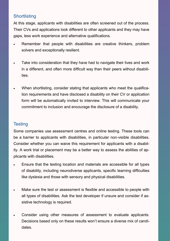## **Shortlisting**

 At this stage, applicants with disabilities are often screened out of the process. Their CVs and applications look different to other applicants and they may have gaps, less work experience and alternative qualifications.

- • Remember that people with disabilities are creative thinkers, problem solvers and exceptionally resilient.
- • Take into consideration that they have had to navigate their lives and work in a different, and often more difficult way than their peers without disabilities.
- • When shortlisting, consider stating that applicants who meet the qualifica- tion requirements and have disclosed a disability on their CV or application form will be automatically invited to interview. This will communicate your commitment to inclusion and encourage the disclosure of a disability.

## **Testing**

 Some companies use assessment centres and online testing. These tools can be a barrier to applicants with disabilities, in particular non-visible disabilities. Consider whether you can waive this requirement for applicants with a disabil- ity. A work trial or placement may be a better way to assess the abilities of applicants with disabilities.

- • Ensure that the testing location and materials are accessible for all types of disability, including neurodiverse applicants, specific learning difficulties like dyslexia and those with sensory and physical disabilities.
- • Make sure the test or assessment is flexible and accessible to people with all types of disabilities. Ask the test developer if unsure and consider if as-sistive technology is required.
- • Consider using other measures of assessment to evaluate applicants. Decisions based only on these results won't ensure a diverse mix of candidates.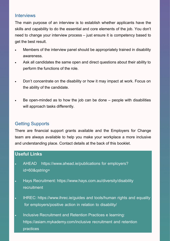#### **Interviews**

 The main purpose of an interview is to establish whether applicants have the skills and capability to do the essential and core elements of the job. You don't need to change your interview process – just ensure it is competency based to get the best result.

- • Members of the interview panel should be appropriately trained in disability awareness.
- • Ask all candidates the same open and direct questions about their ability to perform the functions of the role.
- • Don't concentrate on the disability or how it may impact at work. Focus on the ability of the candidate.
- • Be open-minded as to how the job can be done people with disabilities will approach tasks differently.

## Getting Supports

 There are financial support grants available and the Employers for Change team are always available to help you make your workplace a more inclusive and understanding place. Contact details at the back of this booklet.

## **Useful Links**

- [AHEAD](https://www.ahead.ie/publications-for-employers?id=60&qstring=) [https://www.ahead.ie/publications](https://www.ahead.ie/publications-for-employers?id=60&qstring=) for employers? [id=60&qstring=](https://www.ahead.ie/publications-for-employers?id=60&qstring=)
- • Hays Recruitment: [https://www.hays.com.au/diversity/disability](https://www.hays.com.au/diversity/disability-recruitment) [recruitment](https://www.hays.com.au/diversity/disability-recruitment)
- [IHREC:](https://www.ihrec.ie/guides-and-tools/human-rights-and-equality-for-employers/positive-action-in-relation-to-disability/) [https://www.ihrec.ie/guides](https://www.ihrec.ie/guides-and-tools/human-rights-and-equality-for-employers/positive-action-in-relation-to-disability/) and tools/human rights and equality for [employers/positive](https://www.ihrec.ie/guides-and-tools/human-rights-and-equality-for-employers/positive-action-in-relation-to-disability/) action in relation to disability/

9

- • Inclusive Recruitment [and Retention Practices](https://asiam.mykademy.com/inclusive-recruitment-and-retention-practices) e learning: [https://asiam.mykademy.com/inclusive](https://asiam.mykademy.com/inclusive-recruitment-and-retention-practices) recruitment and retention [practices](https://asiam.mykademy.com/inclusive-recruitment-and-retention-practices)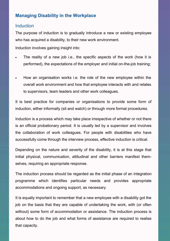## **Managing Disability in the Workplace**

#### Induction

 The purpose of induction is to gradually introduce a new or existing employee who has acquired a disability, to their new work environment.

Induction involves gaining insight into:

- • The reality of a new job i.e., the specific aspects of the work (how it is performed), the expectations of the employer and initial on-the-job training;
- • How an organisation works i.e. the role of the new employee within the overall work environment and how that employee interacts with and relates to supervisors, team leaders and other work colleagues.

 It is best practice for companies or organisations to provide some form of induction, either informally (sit and watch) or through more formal procedures.

 Induction is a process which may take place irrespective of whether or not there is an official probationary period. It is usually led by a supervisor and involves the collaboration of work colleagues. For people with disabilities who have successfully come through the interview process, effective induction is critical.

 Depending on the nature and severity of the disability, it is at this stage that initial physical, communication, attitudinal and other barriers manifest them-selves, requiring an appropriate response.

 The induction process should be regarded as the initial phase of an integration programme which identifies particular needs and provides appropriate accommodations and ongoing support, as necessary.

 It is equally important to remember that a new employee with a disability got the job on the basis that they are capable of undertaking the work, with (or often without) some form of accommodation or assistance. The induction process is about how to do the job and what forms of assistance are required to realise that capacity.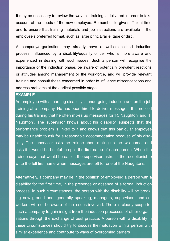It may be necessary to review the way this training is delivered in order to take account of the needs of the new employee. Remember to give sufficient time and to ensure that training materials and job instructions are available in the employee's preferred format, such as large print, Braille, tape or disc.

 A company/organisation may already have a well-established induction process, influenced by a disability/equality officer who is more aware and experienced in dealing with such issues. Such a person will recognise the importance of the induction phase, be aware of potentially prevalent reactions or attitudes among management or the workforce, and will provide relevant training and consult those concerned in order to influence misconceptions and address problems at the earliest possible stage.

#### **EXAMPLE**

An employee with a learning disability is undergoing induction and on the job training at a company. He has been hired to deliver messages. It is noticed during his training that he often mixes up messages for 'R. Naughton' and 'T. Naughton'. The supervisor knows about his disability, suspects that the performance problem is linked to it and knows that this particular employee may be unable to ask for a reasonable accommodation because of his disa- bility. The supervisor asks the trainee about mixing up the two names and asks if it would be helpful to spell the first name of each person. When the trainee says that would be easier, the supervisor instructs the receptionist to write the full first name when messages are left for one of the Naughtons.

 Alternatively, a company may be in the position of employing a person with a disability for the first time, in the presence or absence of a formal induction - process. In such circumstances, the person with the disability will be break ing new ground and, generally speaking, managers, supervisors and co workers will not be aware of the issues involved. There is clearly scope for such a company to gain insight from the induction processes of other organi sations through the exchange of best practice. A person with a disability in these circumstances should try to discuss their situation with a person with similar experience and contribute to ways of overcoming barriers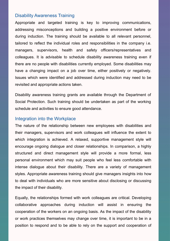#### Disability Awareness Training

 Appropriate and targeted training is key to improving communications, addressing misconceptions and building a positive environment before or during induction. The training should be available to all relevant personnel, tailored to reflect the individual roles and responsibilities in the company i.e. managers, supervisors, health and safety officers/representatives and colleagues. It is advisable to schedule disability awareness training even if there are no people with disabilities currently employed. Some disabilities may have a changing impact on a job over time, either positively or negatively. Issues which were identified and addressed during induction may need to be revisited and appropriate actions taken.

 Disability awareness training grants are available through the [Department of](https://www.gov.ie/en/service/3970b5-disability-awareness-support-scheme/#apply)  [Social Protection.](https://www.gov.ie/en/service/3970b5-disability-awareness-support-scheme/#apply) Such training should be undertaken as part of the working schedule and activities to ensure good attendance.

#### Integration into the Workplace

 The nature of the relationship between new employees with disabilities and their managers, supervisors and work colleagues will influence the extent to which integration is achieved. A relaxed, supportive management style will encourage ongoing dialogue and closer relationships. In comparison, a highly structured and direct management style will provide a more formal, less personal environment which may suit people who feel less comfortable with intense dialogue about their disability. There are a variety of management styles. Appropriate awareness training should give managers insights into how to deal with individuals who are more sensitive about disclosing or discussing the impact of their disability.

 Equally, the relationships formed with work colleagues are critical. Developing collaborative approaches during induction will assist in ensuring the cooperation of the workers on an ongoing basis. As the impact of the disability or work practices themselves may change over time, it is important to be in a position to respond and to be able to rely on the support and cooperation of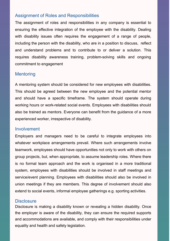#### Assignment of Roles and Responsibilities

 The assignment of roles and responsibilities in any company is essential to ensuring the effective integration of the employee with the disability. Dealing with disability issues often requires the engagement of a range of people, including the person with the disability, who are in a position to discuss, reflect and understand problems and to contribute to or deliver a solution. This requires disability awareness training, problem-solving skills and ongoing commitment to engagement

#### **Mentoring**

 A mentoring system should be considered for new employees with disabilities. This should be agreed between the new employee and the potential mentor and should have a specific timeframe. The system should operate during working hours or work-related social events. Employees with disabilities should also be trained as mentors. Everyone can benefit from the guidance of a more experienced worker, irrespective of disability.

#### **Involvement**

 Employers and managers need to be careful to integrate employees into whatever workplace arrangements prevail. Where such arrangements involve teamwork, employees should have opportunities not only to work with others on group projects, but, when appropriate, to assume leadership roles. Where there is no formal team approach and the work is organised in a more traditional system, employees with disabilities should be involved in staff meetings and service/event planning. Employees with disabilities should also be involved in union meetings if they are members. This degree of involvement should also extend to social events, informal employee gatherings e.g. sporting activities.

#### **Disclosure**

 Disclosure is making a disability known or revealing a hidden disability. Once the employer is aware of the disability, they can ensure the required supports and accommodations are available, and comply with their responsibilities under equality and health and safety legislation.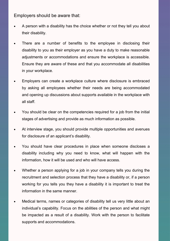Employers should be aware that:

- • A person with a disability has the choice whether or not they tell you about their disability.
- • There are a number of benefits to the employee in disclosing their disability to you as their employer as you have a duty to make reasonable adjustments or accommodations and ensure the workplace is accessible. Ensure they are aware of these and that you accommodate all disabilities in your workplace.
- • Employers can create a workplace culture where disclosure is embraced by asking all employees whether their needs are being accommodated and opening up discussions about supports available in the workplace with all staff.
- • You should be clear on the competencies required for a job from the initial stages of advertising and provide as much information as possible.
- • At interview stage, you should provide multiple opportunities and avenues for disclosure of an applicant's disability.
- • You should have clear procedures in place when someone discloses a disability including why you need to know, what will happen with the information, how it will be used and who will have access.
- • Whether a person applying for a job in your company tells you during the recruitment and selection process that they have a disability or, if a person working for you tells you they have a disability it is important to treat the information in the same manner.
- • Medical terms, names or categories of disability tell us very little about an individual's capability. Focus on the abilities of the person and what might be impacted as a result of a disability. Work with the person to facilitate supports and accommodations.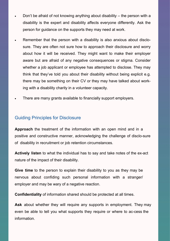- • Don't be afraid of not knowing anything about disability the person with a disability is the expert and disability affects everyone differently. Ask the person for guidance on the supports they may need at work.
- • Remember that the person with a disability is also anxious about disclo- sure. They are often not sure how to approach their disclosure and worry about how it will be received. They might want to make their employer aware but are afraid of any negative consequences or stigma. Consider whether a job applicant or employee has attempted to disclose. They may think that they've told you about their disability without being explicit e.g. there may be something on their CV or they may have talked about work-ing with a disability charity in a volunteer capacity.
- There are many grants available to financially support employers.

#### Guiding Principles for Disclosure

 of disability in recruitment or job retention circumstances. **Approach** the treatment of the information with an open mind and in a positive and constructive manner, acknowledging the challenge of disclo-sure

 **Actively listen** to what the individual has to say and take notes of the ex-act nature of the impact of their disability.

 **Give time** to the person to explain their disability to you as they may be nervous about confiding such personal information with a stranger/ employer and may be wary of a negative reaction.

**Confidentiality** of information shared should be protected at all times.

 **Ask** about whether they will require any supports in employment. They may even be able to tell you what supports they require or where to ac-cess the information.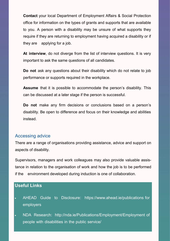**Contact** your local Department of Employment Affairs & Social Protection office for information on the types of grants and supports that are available to you. A person with a disability may be unsure of what supports they require if they are returning to employment having acquired a disability or if they are applying for a job.

 **At interview**, do not diverge from the list of interview questions. It is very important to ask the same questions of all candidates.

 **Do not** ask any questions about their disability which do not relate to job performance or supports required in the workplace.

 **Assume** that it is possible to accommodate the person's disability. This can be discussed at a later stage if the person is successful.

 **Do not** make any firm decisions or conclusions based on a person's disability. Be open to difference and focus on their knowledge and abilities instead.

#### Accessing advice

 There are a range of organisations providing assistance, advice and support on aspects of disability.

 Supervisors, managers and work colleagues may also provide valuable assis- tance in relation to the organisation of work and how the job is to be performed if the environment developed during induction is one of collaboration.

## **Useful Links**

- AHEAD Guide to [Disclosure:](https://www.ahead.ie/publications-for-employers?id=59&qstring=) [https://www.ahead.ie/publications](https://www.ahead.ie/publications-for-employers?id=60&qstring=) for [employers](https://www.ahead.ie/publications-for-employers?id=60&qstring=)
- NDA [Research:](http://nda.ie/Publications/Employment/Employment-of-people-with-disabilities-in-the-public-service/Disclosing-Disability-in-the-Workplace-a-Review-of-Literature-and-Practice-in-the-Irish-Public-Sector/) [http://nda.ie/Publications/Employment/Employment](http://nda.ie/Publications/Employment/Employment-of-people-with-disabilities-in-the-public-service/Disclosing-Disability-in-the-Workplace-a-Review-of-Literature-and-Practice-in-the-Irish-Public-Sector/) of people with [disabilities](http://nda.ie/Publications/Employment/Employment-of-people-with-disabilities-in-the-public-service/Disclosing-Disability-in-the-Workplace-a-Review-of-Literature-and-Practice-in-the-Irish-Public-Sector/) in the public service/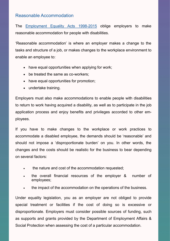#### Reasonable Accommodation

The **[Employment Equality](https://www.ihrec.ie/guides-and-tools/human-rights-and-equality-for-employers/what-does-the-law-say/eea-summary/#:~:text=The%20Employment%20Equality%20Acts%201998-2015%20aim%20to%3A%201,everyone%20gets%20full%20equality%20across%20the%20nine%20grounds.) Acts 1998-2015** oblige employers to make reasonable accommodation for people with disabilities.

 'Reasonable accommodation' is where an employer makes a change to the tasks and structure of a job, or makes changes to the workplace environment to enable an employee to:

- have equal opportunities when applying for work;
- be treated the same as co-workers;
- have equal opportunities for promotion;
- undertake training.

 Employers must also make accommodations to enable people with disabilities to return to work having acquired a disability, as well as to participate in the job application process and enjoy benefits and privileges accorded to other employees.

 If you have to make changes to the workplace or work practices to accommodate a disabled employee, the demands should be 'reasonable' and should not impose a 'disproportionate burden' on you. In other words, the changes and the costs should be realistic for the business to bear depending on several factors:

- the nature and cost of the accommodation requested;
- • the overall financial resources of the employer & number of employees;
- the impact of the accommodation on the operations of the business.

 Under equality legislation, you as an employer are not obliged to provide special treatment or facilities if the cost of doing so is excessive or disproportionate. Employers must consider possible sources of funding, such as supports and grants provided by the Department of Employment Affairs & Social Protection when assessing the cost of a particular accommodation.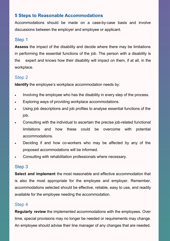## **5 Steps to Reasonable Accommodations**

 Accommodations should be made on a case-by-case basis and involve discussions between the employer and employee or applicant.

## Step 1

 **Assess** the impact of the disability and decide where there may be limitations in performing the essential functions of the job. The person with a disability is the expert and knows how their disability will impact on them, if at all, in the workplace.

## Step 2

**Identify** the employee's workplace accommodation needs by:

- Involving the employee who has the disability in every step of the process.
- Exploring ways of providing workplace accommodations.
- • Using job descriptions and job profiles to analyse essential functions of the job.
- limitations • Consulting with the individual to ascertain the precise job-related functional and how these could be overcome with potential accommodations.
- • Deciding if and how co-workers who may be affected by any of the proposed accommodations will be informed.
- Consulting with rehabilitation professionals where necessary.

## Step 3

 is also the most appropriate for the employee and employer. Remember, accommodations selected should be effective, reliable, easy to use, and readily available for the employee needing the accommodation. **Select and implement** the most reasonable and effective accommodation that

## Step 4

 **Regularly review** the implemented accommodations with the employees. Over time, special provisions may no longer be needed or requirements may change. An employee should advise their line manager of any changes that are needed.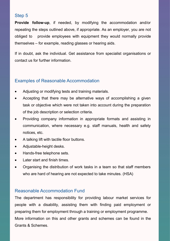## Step 5

 **Provide follow-up**, if needed, by modifying the accommodation and/or repeating the steps outlined above, if appropriate. As an employer, you are not obliged to themselves – for example, reading glasses or hearing aids. provide employees with equipment they would normally provide

 If in doubt, ask the individual. Get assistance from specialist organisations or contact us for further information.

## Examples of Reasonable Accommodation

- Adjusting or modifying tests and training materials.
- • Accepting that there may be alternative ways of accomplishing a given task or objective which were not taken into account during the preparation of the job description or selection criteria.
- • Providing company information in appropriate formats and assisting in communication, where necessary e.g. staff manuals, health and safety notices, etc.
- A talking lift with tactile floor buttons.
- Adjustable-height desks.
- Hands-free telephone sets.
- Later start and finish times.
- • Organising the distribution of work tasks in a team so that staff members who are hard of hearing are not expected to take minutes. (HSA)

#### Reasonable Accommodation Fund

 The department has responsibility for providing labour market services for people with a disability, assisting them with finding paid employment or preparing them for employment through a training or employment programme. More information on this and other grants and schemes can be found in the Grants & Schemes.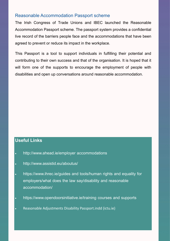#### Reasonable Accommodation Passport scheme

 The Irish Congress of Trade Unions and IBEC launched the Reasonable Accommodation Passport scheme. The passport system provides a confidential live record of the barriers people face and the accommodations that have been agreed to prevent or reduce its impact in the workplace.

 This Passport is a tool to support individuals in fulfilling their potential and contributing to their own success and that of the organisation. It is hoped that it will form one of the supports to encourage the employment of people with disabilities and open up conversations around reasonable accommodation.

## **Useful Links**

- • [http://www.ahead.ie/employer](http://www.ahead.ie/employer-accommodations) accommodations
- <http://www.assistid.eu/aboutus/>
- [https://www.ihrec.ie/guides](https://www.ihrec.ie/guides-and-tools/human-rights-and-equality-for-employers/what-does-the-law-say/disability-and-reasonable-accommodation/) and tools/human rights and equality for [employers/what](https://www.ihrec.ie/guides-and-tools/human-rights-and-equality-for-employers/what-does-the-law-say/disability-and-reasonable-accommodation/) does the law say/disability and reasonable [accommodation/](https://www.ihrec.ie/guides-and-tools/human-rights-and-equality-for-employers/what-does-the-law-say/disability-and-reasonable-accommodation/)
- [https://www.opendoorsinitiative.ie/training](https://www.opendoorsinitiative.ie/training-courses-and-supports) courses and supports
- [Reasonable Adjustments Disability Passport.indd](https://www.ictu.ie/download/pdf/reasonable_adjustments_disability_passport.pdf) (ictu.ie)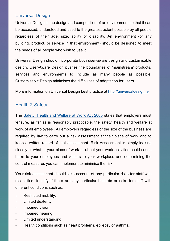## Universal Design

 Universal Design is the design and composition of an environment so that it can be accessed, understood and used to the greatest extent possible by all people regardless of their age, size, ability or disability. An environment (or any building, product, or service in that environment) should be designed to meet the needs of all people who wish to use it.

 Universal Design should incorporate both user-aware design and customisable design. User-Aware Design pushes the boundaries of 'mainstream' products, services and environments to include as many people as possible. Customisable Design minimises the difficulties of adaptation for users.

More information on Universal Design best practice at <http://universaldesign.ie>

#### Health & Safety

The **Safety, [Health and Welfare at Work](http://www.hsa.ie/eng/Small_Business/Getting_Started/Risk_Assessments_Made_Easy/Short_Guide_to_the_Safety_Health_and_Welfare_at_work_Act_2005.pdf) Act 2005** states that employers must 'ensure, as far as is reasonably practicable, the safety, health and welfare at work of all employees'. All employers regardless of the size of the business are required by law to carry out a risk assessment at their place of work and to keep a written record of that assessment. Risk Assessment is simply looking closely at what in your place of work or about your work activities could cause harm to your employees and visitors to your workplace and determining the control measures you can implement to minimise the risk.

 Your risk assessment should take account of any particular risks for staff with disabilities. Identify if there are any particular hazards or risks for staff with different conditions such as:

- Restricted mobility;
- Limited dexterity;
- Impaired vision;
- Impaired hearing;
- Limited understanding;
- Health conditions such as heart problems, epilepsy or asthma.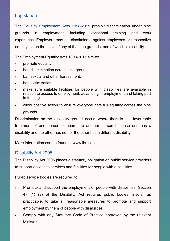## **Legislation**

work experience. Employers may not discriminate against employees or prospective The Equality Employment Acts 1998-2015 prohibit discrimination under nine grounds in employment, including vocational training and employees on the basis of any of the nine grounds, one of which is disability.

The Employment Equality Acts 1998-2015 aim to:

- promote equality;
- ban discrimination across nine grounds;
- ban sexual and other harassment;
- ban victimisation:
- • make sure suitable facilities for people with disabilities are available in relation to access to employment, advancing in employment and taking part in training;
- • allow positive action to ensure everyone gets full equality across the nine grounds.

 Discrimination on the 'disability ground' occurs where there is less favourable treatment of one person compared to another person because one has a disability and the other has not, or the other has a different disability.

More information can be found at <www.ihrec.ie>

## Disability Act 2005

 The Disability Act 2005 places a statutory obligation on public service providers to support access to services and facilities for people with disabilities.

Public service bodies are required to:

- • Promote and support the employment of people with disabilities. Section 47 (1) (a) of the Disability Act requires public bodies, insofar as practicable, to take all reasonable measures to promote and support employment by them of people with disabilities.
- • Comply with any Statutory Code of Practice approved by the relevant Minister.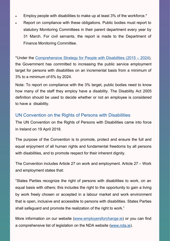- Employ people with disabilities to make up at least 3% of the workforce.\*
- • Report on compliance with these obligations. Public bodies must report to statutory Monitoring Committees in their parent department every year by 31 March. For civil servants, the report is made to the Department of Finance Monitoring Committee.

 \*Under the [Comprehensive Strategy](http://www.justice.ie/en/JELR/Comprehensive%20Employment%20Strategy%20for%20People%20with%20Disabilities%20-%20FINAL.pdf/Files/Comprehensive%20Employment%20Strategy%20for%20People%20with%20Disabilities%20-%20FINAL.pdf) for People with Disabilities (2015 – 2024), the Government has committed to increasing the public service employment target for persons with disabilities on an incremental basis from a minimum of 3% to a minimum of 6% by 2024.

 Note: To report on compliance with the 3% target, public bodies need to know how many of the staff they employ have a disability. The Disability Act 2005 definition should be used to decide whether or not an employee is considered to have a disability.

## UN Convention on the Rights of Persons with Disabilities

 The UN Convention on the Rights of Persons with Disabilities came into force in Ireland on 19 April 2018.

 The purpose of the Convention is to promote, protect and ensure the full and equal enjoyment of all human rights and fundamental freedoms by all persons with disabilities, and to promote respect for their inherent dignity.

 The Convention includes Article 27 on work and employment. Article 27 – Work and employment states that:

 "States Parties recognize the right of persons with disabilities to work, on an equal basis with others; this includes the right to the opportunity to gain a living by work freely chosen or accepted in a labour market and work environment that is open, inclusive and accessible to persons with disabilities. States Parties shall safeguard and promote the realization of the right to work."

More information on our website [\(www.employersforchange.ie\)](http://www.employersforchange.ie) or you can find a comprehensive list of legislation on the NDA website [\(www.nda.ie\).](http://www.nda.ie)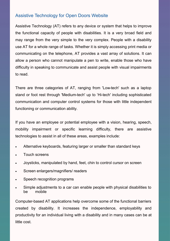## Assistive Technology for Open Doors Website

 Assistive Technology (AT) refers to any device or system that helps to improve the functional capacity of people with disabilities. It is a very broad field and may range from the very simple to the very complex. People with a disability use AT for a whole range of tasks. Whether it is simply accessing print media or communicating on the telephone, AT provides a vast array of solutions. It can allow a person who cannot manipulate a pen to write, enable those who have difficulty in speaking to communicate and assist people with visual impairments to read.

 There are three categories of AT, ranging from 'Low-tech' such as a laptop stand or foot rest through 'Medium-tech' up to 'Hi-tech' including sophisticated communication and computer control systems for those with little independent functioning or communication ability.

 If you have an employee or potential employee with a vision, hearing, speech, mobility impairment or specific learning difficulty, there are assistive technologies to assist in all of these areas, examples include:

- Alternative keyboards, featuring larger or smaller than standard keys
- Touch screens
- Joysticks, manipulated by hand, feet, chin to control cursor on screen
- Screen enlargers/magnifiers/ readers
- Speech recognition programs
- • Simple adjustments to a car can enable people with physical disabilities to be mobile

 Computer-based AT applications help overcome some of the functional barriers created by disability. It increases the independence, employability and productivity for an individual living with a disability and in many cases can be at little cost.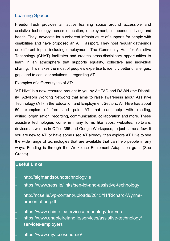## Learning Spaces

**[FreedomTech](https://freedomtech.ie/)** provides an active learning space around accessible and assistive technology across education, employment, independent living and health. They advocate for a coherent infrastructure of supports for people with disabilities and have proposed an AT Passport. They host regular gatherings on different topics including employment. The Community Hub for Assistive Technology (CHAT) facilitates and creates cross-disciplinary opportunities to learn in an atmosphere that supports equality, collective and individual sharing. This makes the most of people's expertise to identify better challenges, gaps and to consider solutions regarding AT.

Examples of different types of AT:

 'AT Hive' is a new [resource brought to you](https://www.ahead.ie/ATHive) by AHEAD and DAWN (the Disabil- ity Advisors Working [Network\) that](https://www.ahead.ie/ATHive) aims to raise awareness about Assistive [Technology](https://www.ahead.ie/ATHive) (AT) in the Education and Employment Sectors. AT Hive has about 50 examples of free and paid AT that can help with reading, writing, organisation, recording, communication, collaboration and more. These assistive technologies come in many forms like apps, websites, software, devices as well as in Office 365 and Google Workspace, to just name a few. If you are new to AT, or have some used AT already, then explore AT Hive to see the wide range of technologies that are available that can help people in any ways. Funding is through the [Workplace Equipment Adaptation grant](https://www.gov.ie/en/service/38fdd0-workplace-equipment-adaptation-grant/) (See Grants).

## **Useful Links**

- <http://sightandsoundtechnology.ie>
- [https://www.sess.ie/links/sen](https://www.sess.ie/links/sen-ict-and-assistive-technology)-ict-and-assistive-technology
- http://ncse.ie/wp-content/uploads/2015/11/Richard-Wynnepresentation.pdf
- [https://www.chime.ie/services/technology](https://www.chime.ie/services/technology-for-you)-for-you
- [https://www.enableireland.ie/services/assistive](https://www.enableireland.ie/services/assistive-technology/services-employers)-technology/ services-[employers](https://www.enableireland.ie/services/assistive-technology/services-employers)
- <https://www.myaccesshub.io/>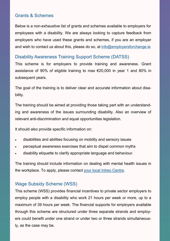## Grants & Schemes

 Below is a non-exhaustive list of grants and schemes available to employers for employees with a disability. We are always looking to capture feedback from employers who have used these grants and schemes, if you are an employer and wish to contact us about this, please do so, at **[info@employersforchange.ie](mailto:info@employersforchange.ie)** 

#### Disability Awareness Training Support Scheme (DATSS)

 This scheme is for employers to provide training and awareness. Grant assistance of 90% of eligible training to max €20,000 in year 1 and 80% in subsequent years.

 The goal of the training is to deliver clear and accurate information about disability.

 The training should be aimed at providing those taking part with an understand- ing and awareness of the issues surrounding disability. Also an overview of relevant anti-discrimination and equal opportunities legislation.

It should also provide specific information on:

- disabilities and abilities focusing on mobility and sensory issues
- perceptual awareness exercises that aim to dispel common myths
- disability etiquette to clarify appropriate language and behaviour.

 The training should include information on dealing with mental health issues in the workplace. To apply, please contact your [local Intreo](https://www.gov.ie/en/directory/category/e1f4b5-intreo-offices/?referrer=http://www.gov.ie/en/service/40cf48-find-your-local-intreo-office/) Centre.

#### Wage Subsidy Scheme (WSS)

 This scheme (WSS) provides financial incentives to private sector employers to employ people with a disability who work 21 hours per week or more, up to a maximum of 39 hours per week. The financial supports for employers available through this scheme are structured under three separate strands and employ- ers could benefit under one strand or under two or three strands simultaneous-ly, as the case may be.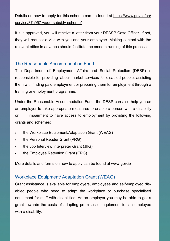Details on how to apply for this scheme can be found at [https://www.gov.ie/en/](https://www.gov.ie/en/service/37c057-wage-subsidy-scheme/) [service/37c057](https://www.gov.ie/en/service/37c057-wage-subsidy-scheme/)-wage-subsidy-scheme/

 If it is approved, you will receive a letter from your DEASP Case Officer. If not, they will request a visit with you and your employee. Making contact with the relevant office in advance should facilitate the smooth running of this process.

## The Reasonable Accommodation Fund

 The Department of Employment Affairs and Social Protection (DESP) is responsible for providing labour market services for disabled people, assisting them with finding paid employment or preparing them for employment through a training or employment programme.

 Under the Reasonable Accommodation Fund, the DESP can also help you as an employer to take appropriate measures to enable a person with a disability **or**  grants and schemes: impairment to have access to employment by providing the following

- the Workplace Equipment/Adaptation Grant (WEAG)
- the Personal Reader Grant (PRG)
- the Job Interview Interpreter Grant (JIIG)
- the Employee Retention Grant (ERG)

More details and forms on how to apply can be found at <www.gov.ie>

## Workplace Equipment/ Adaptation Grant (WEAG)

 Grant assistance is available for employers, employees and self-employed dis- abled people who need to adapt the workplace or purchase specialised equipment for staff with disabilities. As an employer you may be able to get a grant towards the costs of adapting premises or equipment for an employee with a disability.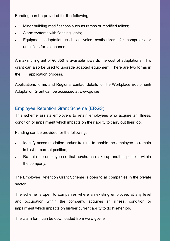Funding can be provided for the following:

- Minor building modifications such as ramps or modified toilets;
- Alarm systems with flashing lights;
- • Equipment adaptation such as voice synthesizers for computers or amplifiers for telephones.

 A maximum grant of €6,350 is available towards the cost of adaptations. This grant can also be used to upgrade adapted equipment. There are two forms in the application process.

 Applications forms and Regional contact details for the Workplace Equipment/ Adaptation Grant can be accessed at <www.gov.ie>

## Employee Retention Grant Scheme (ERGS)

 This scheme assists employers to retain employees who acquire an illness, condition or impairment which impacts on their ability to carry out their job.

Funding can be provided for the following:

- • Identify accommodation and/or training to enable the employee to remain in his/her current position;
- • Re-train the employee so that he/she can take up another position within the company.

 The Employee Retention Grant Scheme is open to all companies in the private sector.

 The scheme is open to companies where an existing employee, at any level and occupation within the company, acquires an illness, condition or impairment which impacts on his/her current ability to do his/her job.

The claim form can be downloaded from <www.gov.ie>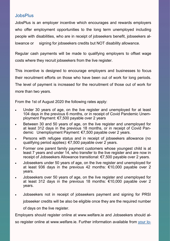#### **JobsPlus**

 JobsPlus is an employer incentive which encourages and rewards employers who offer employment opportunities to the long term unemployed including people with disabilities, who are in receipt of jobseekers benefit, jobseekers allowance or signing for jobseekers credits but NOT disability allowance.

 Regular cash payments will be made to qualifying employers to offset wage costs where they recruit jobseekers from the live register.

 This incentive is designed to encourage employers and businesses to focus their recruitment efforts on those who have been out of work for long periods. The level of payment is increased for the recruitment of those out of work for more than two years.

From the 1st of August 2020 the following rates apply:

- • Under 30 years of age, on the live register and unemployed for at least 104 days in the previous 6 months, or in receipt of Covid Pandemic Unemployment Payment: €7,500 payable over 2 years
- • Between 30 and 50 years of age, on the live register and unemployed for at least 312 days in the previous 18 months, or in receipt of Covid Pan-demic Unemployment Payment: €7,500 payable over 2 years.
- • Persons with refugee status and in receipt of jobseekers allowance (no qualifying period applies): €7,500 payable over 2 years.
- • Former one parent family payment customers whose youngest child is at least 7 years and under 14, who transfer to the live register and are now in receipt of Jobseekers Allowance transitional: €7,500 payable over 2 years.
- • Jobseekers under 50 years of age, on the live register and unemployed for at least 936 days in the previous 42 months: €10,000 payable over 2 years.
- • Jobseekers over 50 years of age, on the live register and unemployed for at least 312 days in the previous 18 months: €10,000 payable over 2 years.
- • Jobseekers not in receipt of jobseekers payment and signing for PRSI jobseeker credits will be also be eligible once they are the required number of days on the live register.

 Employers should register online at <www.welfare.ie>and Jobseekers should also register online at [www.welfare.ie.](www.welfare.ie) Further information available from [your](https://www.gov.ie/en/service/40cf48-find-your-local-intreo-office/) lo-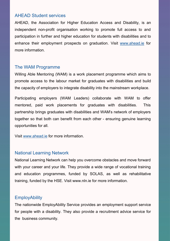#### AHEAD Student services

 AHEAD, the Association for Higher Education Access and Disability, is an independent non-profit organisation working to promote full access to and participation in further and higher education for students with disabilities and to enhance their employment prospects on graduation. Visit [www.ahead.ie](http://www.ahead.ie) for more information.

## The WAM Programme

 Willing Able Mentoring (WAM) is a work placement programme which aims to promote access to the labour market for graduates with disabilities and build the capacity of employers to integrate disability into the mainstream workplace.

 Participating employers (WAM Leaders) collaborate with WAM to offer mentored, paid work placements for graduates with disabilities. This partnership brings graduates with disabilities and WAM's network of employers together so that both can benefit from each other - ensuring genuine learning opportunities for all.

Visit [www.ahead.ie](http://www.ahead.ie) for more information.

#### National Learning Network

 National Learning Network can help you overcome obstacles and move forward with your career and your life. They provide a wide range of vocational training and education programmes, funded by SOLAS, as well as rehabilitative training, funded by the HSE. Visit <www.nln.ie> for more information.

#### **EmployAbility**

 The nationwide EmployAbility Service provides an employment support service for people with a disability. They also provide a recruitment advice service for the business community.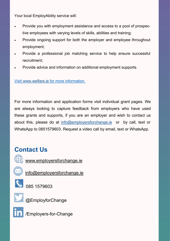Your local EmployAbility service will:

- tive employees with varying levels of skills, abilities and training; • Provide you with employment assistance and access to a pool of prospec-
- • Provide ongoing support for both the employer and employee throughout employment;
- • Provide a professional job matching service to help ensure successful recruitment;
- Provide advice and information on additional employment supports.

Visit [www.welfare.ie](http://www.welfare.ie) for more information.

 For more information and application forms visit individual grant pages. We are always looking to capture feedback from employers who have used these grants and supports, if you are an employer and wish to contact us about this, please do at [info@employersforchange.ie](mailto:info@employersforchange.ie) or by call, text or WhatsApp to 0851579603. Request a video call by email, text or WhatsApp.

## **Contact Us**



Www.employersforchange.ie



[info@employersforchange.ie](mailto:info@employersforchange.ie)



085 1579603



@EmployforChange



**in** /Employers-for-Change